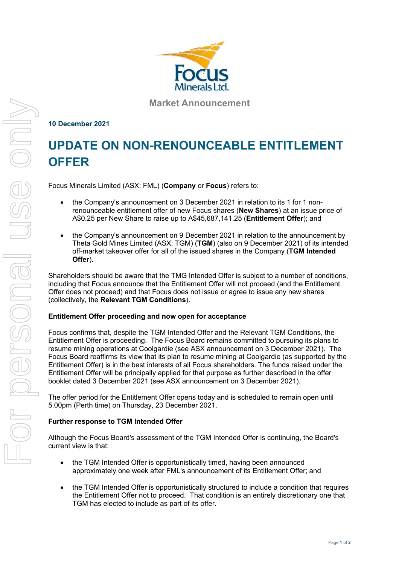

**Market Announcement**

## **10 December 2021**

# **UPDATE ON NON-RENOUNCEABLE ENTITLEMENT OFFER**

Focus Minerals Limited (ASX: FML) (**Company** or **Focus**) refers to:

- the Company's announcement on 3 December 2021 in relation to its 1 for 1 nonrenounceable entitlement offer of new Focus shares (**New Shares**) at an issue price of A\$0.25 per New Share to raise up to A\$45,687,141.25 (**Entitlement Offer**); and
- the Company's announcement on 9 December 2021 in relation to the announcement by Theta Gold Mines Limited (ASX: TGM) (**TGM**) (also on 9 December 2021) of its intended off-market takeover offer for all of the issued shares in the Company (**TGM Intended Offer**).

Shareholders should be aware that the TMG Intended Offer is subject to a number of conditions, including that Focus announce that the Entitlement Offer will not proceed (and the Entitlement Offer does not proceed) and that Focus does not issue or agree to issue any new shares (collectively, the **Relevant TGM Conditions**).

## **Entitlement Offer proceeding and now open for acceptance**

Focus confirms that, despite the TGM Intended Offer and the Relevant TGM Conditions, the Entitlement Offer is proceeding. The Focus Board remains committed to pursuing its plans to resume mining operations at Coolgardie (see ASX announcement on 3 December 2021). The Focus Board reaffirms its view that its plan to resume mining at Coolgardie (as supported by the Entitlement Offer) is in the best interests of all Focus shareholders. The funds raised under the Entitlement Offer will be principally applied for that purpose as further described in the offer booklet dated 3 December 2021 (see ASX announcement on 3 December 2021).

The offer period for the Entitlement Offer opens today and is scheduled to remain open until 5.00pm (Perth time) on Thursday, 23 December 2021.

## **Further response to TGM Intended Offer**

Although the Focus Board's assessment of the TGM Intended Offer is continuing, the Board's current view is that:

- the TGM Intended Offer is opportunistically timed, having been announced approximately one week after FML's announcement of its Entitlement Offer; and
- the TGM Intended Offer is opportunistically structured to include a condition that requires the Entitlement Offer not to proceed. That condition is an entirely discretionary one that TGM has elected to include as part of its offer.